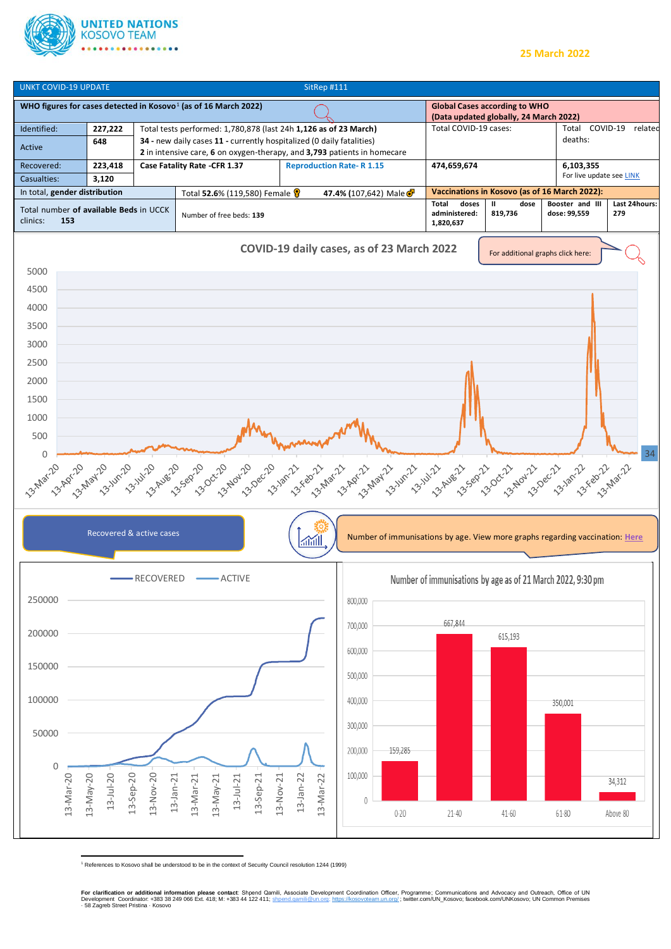

## **25 March 2022**



<sup>1</sup> References to Kosovo shall be understood to be in the context of Security Council resolution 1244 (1999)

**For clarification or additional information please contact**: Shpend Qamili, Associate Development Coordination Officer, Programme; Communications and Advocacy and Outreach, Office of UN<br>Development Coordinator: +383 38 2